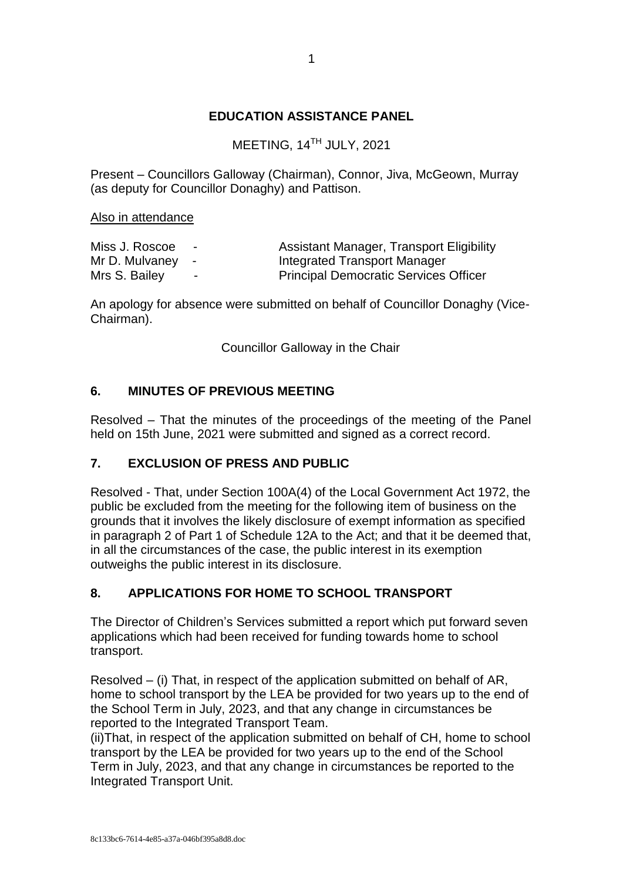## **EDUCATION ASSISTANCE PANEL**

MEETING, 14<sup>TH</sup> JULY, 2021

Present – Councillors Galloway (Chairman), Connor, Jiva, McGeown, Murray (as deputy for Councillor Donaghy) and Pattison.

Also in attendance

| Miss J. Roscoe   | $\sim$         | <b>Assistant Manager, Transport Eligibility</b> |
|------------------|----------------|-------------------------------------------------|
| Mr D. Mulvaney - |                | Integrated Transport Manager                    |
| Mrs S. Bailey    | $\blacksquare$ | <b>Principal Democratic Services Officer</b>    |

An apology for absence were submitted on behalf of Councillor Donaghy (Vice-Chairman).

Councillor Galloway in the Chair

## **6. MINUTES OF PREVIOUS MEETING**

Resolved – That the minutes of the proceedings of the meeting of the Panel held on 15th June, 2021 were submitted and signed as a correct record.

## **7. EXCLUSION OF PRESS AND PUBLIC**

Resolved - That, under Section 100A(4) of the Local Government Act 1972, the public be excluded from the meeting for the following item of business on the grounds that it involves the likely disclosure of exempt information as specified in paragraph 2 of Part 1 of Schedule 12A to the Act; and that it be deemed that, in all the circumstances of the case, the public interest in its exemption outweighs the public interest in its disclosure.

## **8. APPLICATIONS FOR HOME TO SCHOOL TRANSPORT**

The Director of Children's Services submitted a report which put forward seven applications which had been received for funding towards home to school transport.

Resolved – (i) That, in respect of the application submitted on behalf of AR, home to school transport by the LEA be provided for two years up to the end of the School Term in July, 2023, and that any change in circumstances be reported to the Integrated Transport Team.

(ii)That, in respect of the application submitted on behalf of CH, home to school transport by the LEA be provided for two years up to the end of the School Term in July, 2023, and that any change in circumstances be reported to the Integrated Transport Unit.